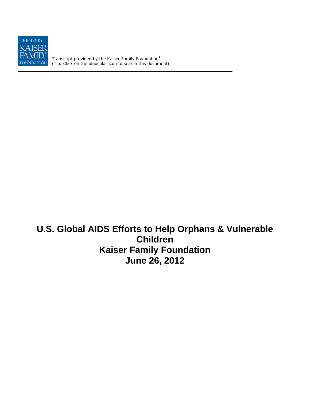

Transcript provided by the Kaiser Family Foundation**<sup>1</sup>** *(Tip: Click on the binocular icon to search this document)* 

# **U.S. Global AIDS Efforts to Help Orphans & Vulnerable Children Kaiser Family Foundation June 26, 2012**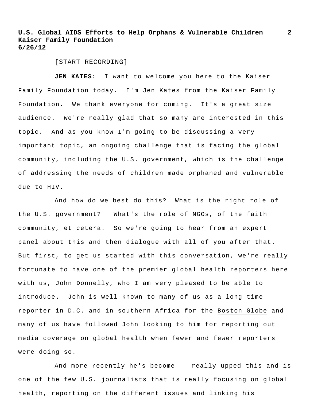**2**

[START RECORDING]

**JEN KATES:** I want to welcome you here to the Kaiser Family Foundation today. I'm Jen Kates from the Kaiser Family Foundation. We thank everyone for coming. It's a great size audience. We're really glad that so many are interested in this topic. And as you know I'm going to be discussing a very important topic, an ongoing challenge that is facing the global community, including the U.S. government, which is the challenge of addressing the needs of children made orphaned and vulnerable due to HIV.

And how do we best do this? What is the right role of the U.S. government? What's the role of NGOs, of the faith community, et cetera. So we're going to hear from an expert panel about this and then dialogue with all of you after that. But first, to get us started with this conversation, we're really fortunate to have one of the premier global health reporters here with us, John Donnelly, who I am very pleased to be able to introduce. John is well-known to many of us as a long time reporter in D.C. and in southern Africa for the Boston Globe and many of us have followed John looking to him for reporting out media coverage on global health when fewer and fewer reporters were doing so.

And more recently he's become -- really upped this and is one of the few U.S. journalists that is really focusing on global health, reporting on the different issues and linking his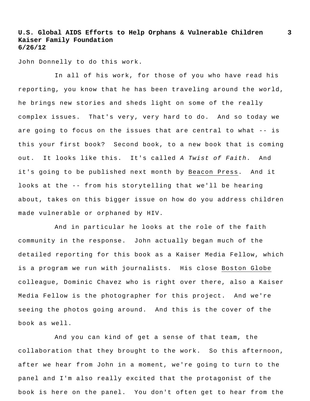John Donnelly to do this work.

In all of his work, for those of you who have read his reporting, you know that he has been traveling around the world, he brings new stories and sheds light on some of the really complex issues. That's very, very hard to do. And so today we are going to focus on the issues that are central to what -- is this your first book? Second book, to a new book that is coming out. It looks like this. It's called *A Twist of Faith*. And it's going to be published next month by Beacon Press. And it looks at the -- from his storytelling that we'll be hearing about, takes on this bigger issue on how do you address children made vulnerable or orphaned by HIV.

And in particular he looks at the role of the faith community in the response. John actually began much of the detailed reporting for this book as a Kaiser Media Fellow, which is a program we run with journalists. His close Boston Globe colleague, Dominic Chavez who is right over there, also a Kaiser Media Fellow is the photographer for this project. And we're seeing the photos going around. And this is the cover of the book as well.

And you can kind of get a sense of that team, the collaboration that they brought to the work. So this afternoon, after we hear from John in a moment, we're going to turn to the panel and I'm also really excited that the protagonist of the book is here on the panel. You don't often get to hear from the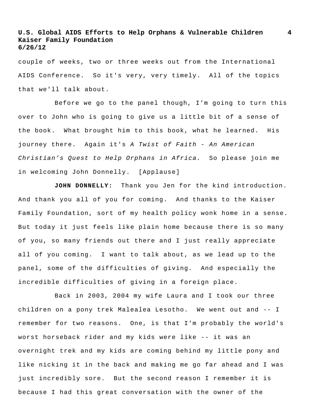couple of weeks, two or three weeks out from the International AIDS Conference. So it's very, very timely. All of the topics that we'll talk about.

Before we go to the panel though, I'm going to turn this over to John who is going to give us a little bit of a sense of the book. What brought him to this book, what he learned. His journey there. Again it's *A Twist of Faith - An American Christian's Quest to Help Orphans in Africa.* So please join me in welcoming John Donnelly. [Applause]

**JOHN DONNELLY:** Thank you Jen for the kind introduction. And thank you all of you for coming. And thanks to the Kaiser Family Foundation, sort of my health policy wonk home in a sense. But today it just feels like plain home because there is so many of you, so many friends out there and I just really appreciate all of you coming. I want to talk about, as we lead up to the panel, some of the difficulties of giving. And especially the incredible difficulties of giving in a foreign place.

Back in 2003, 2004 my wife Laura and I took our three children on a pony trek Malealea Lesotho. We went out and -- I remember for two reasons. One, is that I'm probably the world's worst horseback rider and my kids were like -- it was an overnight trek and my kids are coming behind my little pony and like nicking it in the back and making me go far ahead and I was just incredibly sore. But the second reason I remember it is because I had this great conversation with the owner of the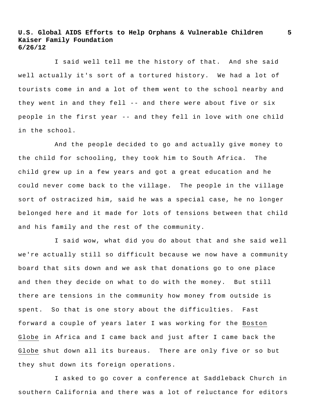I said well tell me the history of that. And she said well actually it's sort of a tortured history. We had a lot of tourists come in and a lot of them went to the school nearby and they went in and they fell -- and there were about five or six people in the first year -- and they fell in love with one child in the school.

And the people decided to go and actually give money to the child for schooling, they took him to South Africa. The child grew up in a few years and got a great education and he could never come back to the village. The people in the village sort of ostracized him, said he was a special case, he no longer belonged here and it made for lots of tensions between that child and his family and the rest of the community.

I said wow, what did you do about that and she said well we're actually still so difficult because we now have a community board that sits down and we ask that donations go to one place and then they decide on what to do with the money. But still there are tensions in the community how money from outside is spent. So that is one story about the difficulties. Fast forward a couple of years later I was working for the Boston Globe in Africa and I came back and just after I came back the Globe shut down all its bureaus. There are only five or so but they shut down its foreign operations.

I asked to go cover a conference at Saddleback Church in southern California and there was a lot of reluctance for editors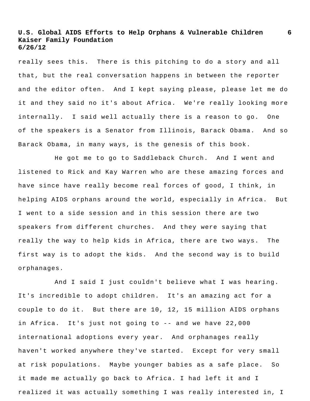really sees this. There is this pitching to do a story and all that, but the real conversation happens in between the reporter and the editor often. And I kept saying please, please let me do it and they said no it's about Africa. We're really looking more internally. I said well actually there is a reason to go. One of the speakers is a Senator from Illinois, Barack Obama. And so Barack Obama, in many ways, is the genesis of this book.

He got me to go to Saddleback Church. And I went and listened to Rick and Kay Warren who are these amazing forces and have since have really become real forces of good, I think, in helping AIDS orphans around the world, especially in Africa. But I went to a side session and in this session there are two speakers from different churches. And they were saying that really the way to help kids in Africa, there are two ways. The first way is to adopt the kids. And the second way is to build orphanages.

And I said I just couldn't believe what I was hearing. It's incredible to adopt children. It's an amazing act for a couple to do it. But there are 10, 12, 15 million AIDS orphans in Africa. It's just not going to -- and we have 22,000 international adoptions every year. And orphanages really haven't worked anywhere they've started. Except for very small at risk populations. Maybe younger babies as a safe place. So it made me actually go back to Africa. I had left it and I realized it was actually something I was really interested in, I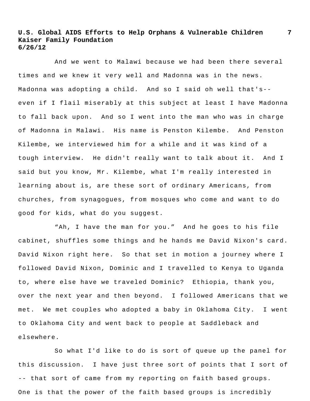And we went to Malawi because we had been there several times and we knew it very well and Madonna was in the news. Madonna was adopting a child. And so I said oh well that's- even if I flail miserably at this subject at least I have Madonna to fall back upon. And so I went into the man who was in charge of Madonna in Malawi. His name is Penston Kilembe. And Penston Kilembe, we interviewed him for a while and it was kind of a tough interview. He didn't really want to talk about it. And I said but you know, Mr. Kilembe, what I'm really interested in learning about is, are these sort of ordinary Americans, from churches, from synagogues, from mosques who come and want to do good for kids, what do you suggest.

"Ah, I have the man for you." And he goes to his file cabinet, shuffles some things and he hands me David Nixon's card. David Nixon right here. So that set in motion a journey where I followed David Nixon, Dominic and I travelled to Kenya to Uganda to, where else have we traveled Dominic? Ethiopia, thank you, over the next year and then beyond. I followed Americans that we met. We met couples who adopted a baby in Oklahoma City. I went to Oklahoma City and went back to people at Saddleback and elsewhere.

So what I'd like to do is sort of queue up the panel for this discussion. I have just three sort of points that I sort of -- that sort of came from my reporting on faith based groups. One is that the power of the faith based groups is incredibly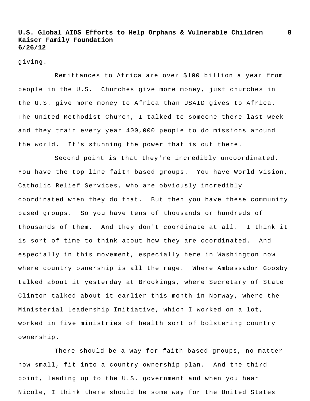giving.

Remittances to Africa are over \$100 billion a year from people in the U.S. Churches give more money, just churches in the U.S. give more money to Africa than USAID gives to Africa. The United Methodist Church, I talked to someone there last week and they train every year 400,000 people to do missions around the world. It's stunning the power that is out there.

Second point is that they're incredibly uncoordinated. You have the top line faith based groups. You have World Vision, Catholic Relief Services, who are obviously incredibly coordinated when they do that. But then you have these community based groups. So you have tens of thousands or hundreds of thousands of them. And they don't coordinate at all. I think it is sort of time to think about how they are coordinated. And especially in this movement, especially here in Washington now where country ownership is all the rage. Where Ambassador Goosby talked about it yesterday at Brookings, where Secretary of State Clinton talked about it earlier this month in Norway, where the Ministerial Leadership Initiative, which I worked on a lot, worked in five ministries of health sort of bolstering country ownership.

There should be a way for faith based groups, no matter how small, fit into a country ownership plan. And the third point, leading up to the U.S. government and when you hear Nicole, I think there should be some way for the United States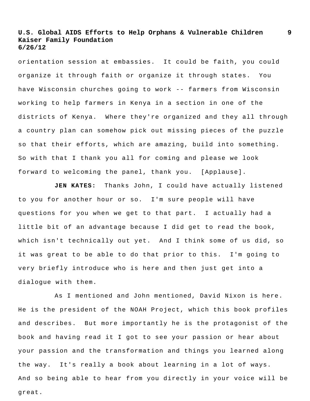orientation session at embassies. It could be faith, you could organize it through faith or organize it through states. You have Wisconsin churches going to work -- farmers from Wisconsin working to help farmers in Kenya in a section in one of the districts of Kenya. Where they're organized and they all through a country plan can somehow pick out missing pieces of the puzzle so that their efforts, which are amazing, build into something. So with that I thank you all for coming and please we look forward to welcoming the panel, thank you. [Applause].

**JEN KATES:** Thanks John, I could have actually listened to you for another hour or so. I'm sure people will have questions for you when we get to that part. I actually had a little bit of an advantage because I did get to read the book, which isn't technically out yet. And I think some of us did, so it was great to be able to do that prior to this. I'm going to very briefly introduce who is here and then just get into a dialogue with them.

As I mentioned and John mentioned, David Nixon is here. He is the president of the NOAH Project, which this book profiles and describes. But more importantly he is the protagonist of the book and having read it I got to see your passion or hear about your passion and the transformation and things you learned along the way. It's really a book about learning in a lot of ways. And so being able to hear from you directly in your voice will be great.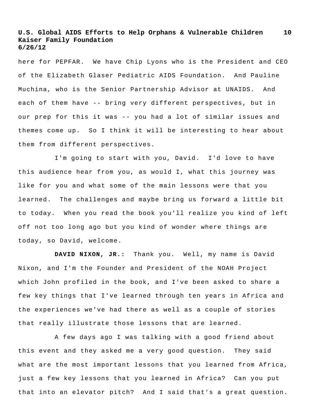here for PEPFAR. We have Chip Lyons who is the President and CEO of the Elizabeth Glaser Pediatric AIDS Foundation. And Pauline Muchina, who is the Senior Partnership Advisor at UNAIDS. And each of them have -- bring very different perspectives, but in our prep for this it was -- you had a lot of similar issues and themes come up. So I think it will be interesting to hear about them from different perspectives.

I'm going to start with you, David. I'd love to have this audience hear from you, as would I, what this journey was like for you and what some of the main lessons were that you learned. The challenges and maybe bring us forward a little bit to today. When you read the book you'll realize you kind of left off not too long ago but you kind of wonder where things are today, so David, welcome.

**DAVID NIXON, JR.:** Thank you. Well, my name is David Nixon, and I'm the Founder and President of the NOAH Project which John profiled in the book, and I've been asked to share a few key things that I've learned through ten years in Africa and the experiences we've had there as well as a couple of stories that really illustrate those lessons that are learned.

A few days ago I was talking with a good friend about this event and they asked me a very good question. They said what are the most important lessons that you learned from Africa, just a few key lessons that you learned in Africa? Can you put that into an elevator pitch? And I said that's a great question.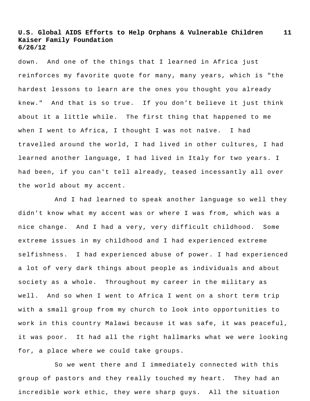down. And one of the things that I learned in Africa just reinforces my favorite quote for many, many years, which is "the hardest lessons to learn are the ones you thought you already knew." And that is so true. If you don't believe it just think about it a little while. The first thing that happened to me when I went to Africa, I thought I was not naïve. I had travelled around the world, I had lived in other cultures, I had learned another language, I had lived in Italy for two years. I had been, if you can't tell already, teased incessantly all over the world about my accent.

And I had learned to speak another language so well they didn't know what my accent was or where I was from, which was a nice change. And I had a very, very difficult childhood. Some extreme issues in my childhood and I had experienced extreme selfishness. I had experienced abuse of power. I had experienced a lot of very dark things about people as individuals and about society as a whole. Throughout my career in the military as well. And so when I went to Africa I went on a short term trip with a small group from my church to look into opportunities to work in this country Malawi because it was safe, it was peaceful, it was poor. It had all the right hallmarks what we were looking for, a place where we could take groups.

So we went there and I immediately connected with this group of pastors and they really touched my heart. They had an incredible work ethic, they were sharp guys. All the situation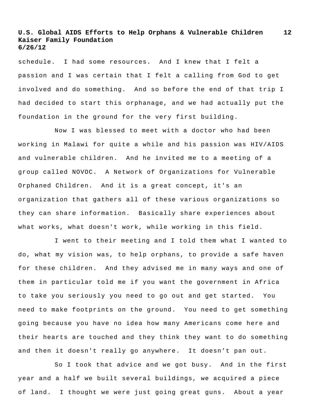schedule. I had some resources. And I knew that I felt a passion and I was certain that I felt a calling from God to get involved and do something. And so before the end of that trip I had decided to start this orphanage, and we had actually put the foundation in the ground for the very first building.

Now I was blessed to meet with a doctor who had been working in Malawi for quite a while and his passion was HIV/AIDS and vulnerable children. And he invited me to a meeting of a group called NOVOC. A Network of Organizations for Vulnerable Orphaned Children. And it is a great concept, it's an organization that gathers all of these various organizations so they can share information. Basically share experiences about what works, what doesn't work, while working in this field.

I went to their meeting and I told them what I wanted to do, what my vision was, to help orphans, to provide a safe haven for these children. And they advised me in many ways and one of them in particular told me if you want the government in Africa to take you seriously you need to go out and get started. You need to make footprints on the ground. You need to get something going because you have no idea how many Americans come here and their hearts are touched and they think they want to do something and then it doesn't really go anywhere. It doesn't pan out.

So I took that advice and we got busy. And in the first year and a half we built several buildings, we acquired a piece of land. I thought we were just going great guns. About a year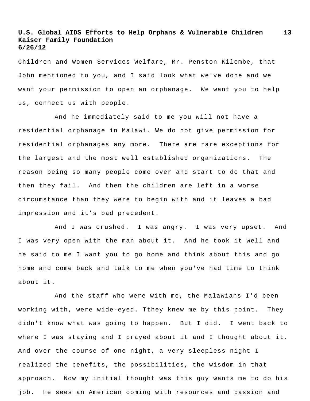Children and Women Services Welfare, Mr. Penston Kilembe, that John mentioned to you, and I said look what we've done and we want your permission to open an orphanage. We want you to help us, connect us with people.

And he immediately said to me you will not have a residential orphanage in Malawi. We do not give permission for residential orphanages any more. There are rare exceptions for the largest and the most well established organizations. The reason being so many people come over and start to do that and then they fail. And then the children are left in a worse circumstance than they were to begin with and it leaves a bad impression and it's bad precedent.

And I was crushed. I was angry. I was very upset. And I was very open with the man about it. And he took it well and he said to me I want you to go home and think about this and go home and come back and talk to me when you've had time to think about it.

And the staff who were with me, the Malawians I'd been working with, were wide-eyed. Tthey knew me by this point. They didn't know what was going to happen. But I did. I went back to where I was staying and I prayed about it and I thought about it. And over the course of one night, a very sleepless night I realized the benefits, the possibilities, the wisdom in that approach. Now my initial thought was this guy wants me to do his job. He sees an American coming with resources and passion and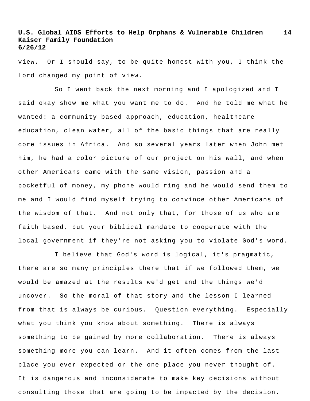view. Or I should say, to be quite honest with you, I think the Lord changed my point of view.

So I went back the next morning and I apologized and I said okay show me what you want me to do. And he told me what he wanted: a community based approach, education, healthcare education, clean water, all of the basic things that are really core issues in Africa. And so several years later when John met him, he had a color picture of our project on his wall, and when other Americans came with the same vision, passion and a pocketful of money, my phone would ring and he would send them to me and I would find myself trying to convince other Americans of the wisdom of that. And not only that, for those of us who are faith based, but your biblical mandate to cooperate with the local government if they're not asking you to violate God's word.

I believe that God's word is logical, it's pragmatic, there are so many principles there that if we followed them, we would be amazed at the results we'd get and the things we'd uncover. So the moral of that story and the lesson I learned from that is always be curious. Question everything. Especially what you think you know about something. There is always something to be gained by more collaboration. There is always something more you can learn. And it often comes from the last place you ever expected or the one place you never thought of. It is dangerous and inconsiderate to make key decisions without consulting those that are going to be impacted by the decision.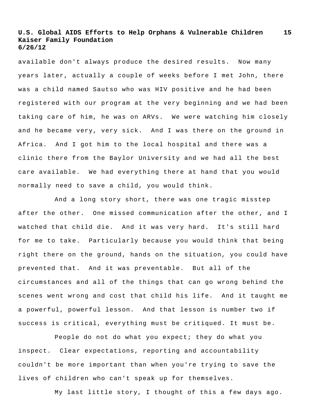**15**

available don't always produce the desired results. Now many years later, actually a couple of weeks before I met John, there was a child named Sautso who was HIV positive and he had been registered with our program at the very beginning and we had been taking care of him, he was on ARVs. We were watching him closely and he became very, very sick. And I was there on the ground in Africa. And I got him to the local hospital and there was a clinic there from the Baylor University and we had all the best care available. We had everything there at hand that you would normally need to save a child, you would think.

And a long story short, there was one tragic misstep after the other. One missed communication after the other, and I watched that child die. And it was very hard. It's still hard for me to take. Particularly because you would think that being right there on the ground, hands on the situation, you could have prevented that. And it was preventable. But all of the circumstances and all of the things that can go wrong behind the scenes went wrong and cost that child his life. And it taught me a powerful, powerful lesson. And that lesson is number two if success is critical, everything must be critiqued. It must be.

People do not do what you expect; they do what you inspect. Clear expectations, reporting and accountability couldn't be more important than when you're trying to save the lives of children who can't speak up for themselves.

My last little story, I thought of this a few days ago.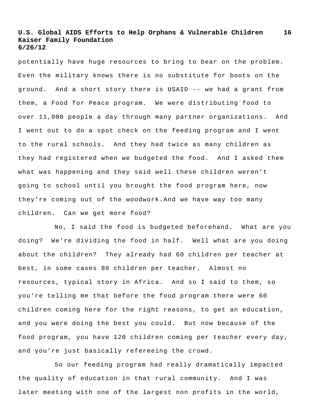potentially have huge resources to bring to bear on the problem. Even the military knows there is no substitute for boots on the ground. And a short story there is USAID -- we had a grant from them, a Food for Peace program. We were distributing food to over 11,000 people a day through many partner organizations. And I went out to do a spot check on the feeding program and I went to the rural schools. And they had twice as many children as they had registered when we budgeted the food. And I asked them what was happening and they said well these children weren't going to school until you brought the food program here, now they're coming out of the woodwork.And we have way too many children. Can we get more food?

No, I said the food is budgeted beforehand. What are you doing? We're dividing the food in half. Well what are you doing about the children? They already had 60 children per teacher at best, in some cases 80 children per teacher. Almost no resources, typical story in Africa. And so I said to them, so you're telling me that before the food program there were 60 children coming here for the right reasons, to get an education, and you were doing the best you could. But now because of the food program, you have 120 children coming per teacher every day, and you're just basically refereeing the crowd.

So our feeding program had really dramatically impacted the quality of education in that rural community. And I was later meeting with one of the largest non profits in the world,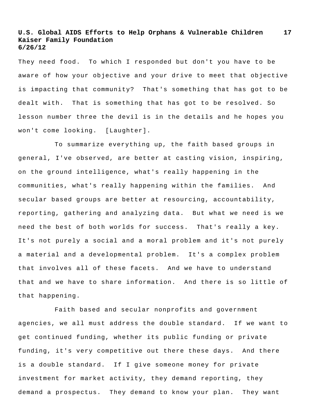They need food. To which I responded but don't you have to be aware of how your objective and your drive to meet that objective is impacting that community? That's something that has got to be dealt with. That is something that has got to be resolved. So lesson number three the devil is in the details and he hopes you won't come looking. [Laughter].

To summarize everything up, the faith based groups in general, I've observed, are better at casting vision, inspiring, on the ground intelligence, what's really happening in the communities, what's really happening within the families. And secular based groups are better at resourcing, accountability, reporting, gathering and analyzing data. But what we need is we need the best of both worlds for success. That's really a key. It's not purely a social and a moral problem and it's not purely a material and a developmental problem. It's a complex problem that involves all of these facets. And we have to understand that and we have to share information. And there is so little of that happening.

Faith based and secular nonprofits and government agencies, we all must address the double standard. If we want to get continued funding, whether its public funding or private funding, it's very competitive out there these days. And there is a double standard. If I give someone money for private investment for market activity, they demand reporting, they demand a prospectus. They demand to know your plan. They want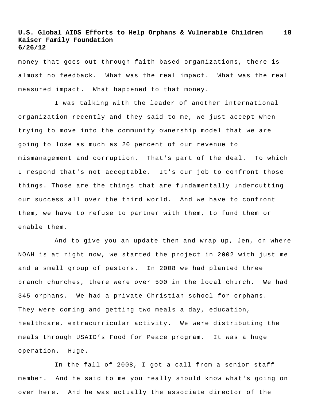money that goes out through faith-based organizations, there is almost no feedback. What was the real impact. What was the real measured impact. What happened to that money.

I was talking with the leader of another international organization recently and they said to me, we just accept when trying to move into the community ownership model that we are going to lose as much as 20 percent of our revenue to mismanagement and corruption. That's part of the deal. To which I respond that's not acceptable. It's our job to confront those things. Those are the things that are fundamentally undercutting our success all over the third world. And we have to confront them, we have to refuse to partner with them, to fund them or enable them.

And to give you an update then and wrap up, Jen, on where NOAH is at right now, we started the project in 2002 with just me and a small group of pastors. In 2008 we had planted three branch churches, there were over 500 in the local church. We had 345 orphans. We had a private Christian school for orphans. They were coming and getting two meals a day, education, healthcare, extracurricular activity. We were distributing the meals through USAID's Food for Peace program. It was a huge operation. Huge.

In the fall of 2008, I got a call from a senior staff member. And he said to me you really should know what's going on over here. And he was actually the associate director of the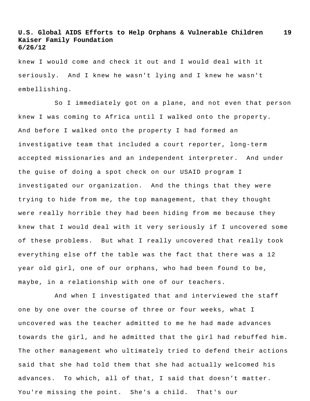knew I would come and check it out and I would deal with it seriously. And I knew he wasn't lying and I knew he wasn't embellishing.

So I immediately got on a plane, and not even that person knew I was coming to Africa until I walked onto the property. And before I walked onto the property I had formed an investigative team that included a court reporter, long-term accepted missionaries and an independent interpreter. And under the guise of doing a spot check on our USAID program I investigated our organization. And the things that they were trying to hide from me, the top management, that they thought were really horrible they had been hiding from me because they knew that I would deal with it very seriously if I uncovered some of these problems. But what I really uncovered that really took everything else off the table was the fact that there was a 12 year old girl, one of our orphans, who had been found to be, maybe, in a relationship with one of our teachers.

And when I investigated that and interviewed the staff one by one over the course of three or four weeks, what I uncovered was the teacher admitted to me he had made advances towards the girl, and he admitted that the girl had rebuffed him. The other management who ultimately tried to defend their actions said that she had told them that she had actually welcomed his advances. To which, all of that, I said that doesn't matter. You're missing the point. She's a child. That's our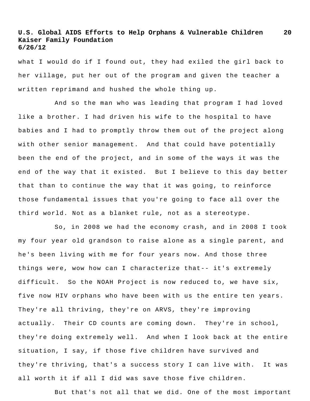what I would do if I found out, they had exiled the girl back to her village, put her out of the program and given the teacher a written reprimand and hushed the whole thing up.

And so the man who was leading that program I had loved like a brother. I had driven his wife to the hospital to have babies and I had to promptly throw them out of the project along with other senior management. And that could have potentially been the end of the project, and in some of the ways it was the end of the way that it existed. But I believe to this day better that than to continue the way that it was going, to reinforce those fundamental issues that you're going to face all over the third world. Not as a blanket rule, not as a stereotype.

So, in 2008 we had the economy crash, and in 2008 I took my four year old grandson to raise alone as a single parent, and he's been living with me for four years now. And those three things were, wow how can I characterize that-- it's extremely difficult. So the NOAH Project is now reduced to, we have six, five now HIV orphans who have been with us the entire ten years. They're all thriving, they're on ARVS, they're improving actually. Their CD counts are coming down. They're in school, they're doing extremely well. And when I look back at the entire situation, I say, if those five children have survived and they're thriving, that's a success story I can live with. It was all worth it if all I did was save those five children.

But that's not all that we did. One of the most important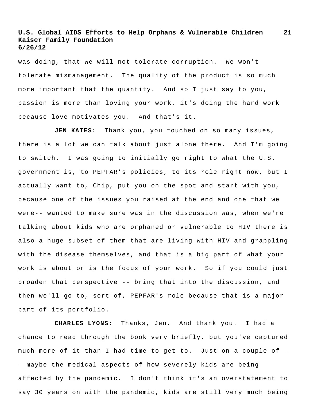was doing, that we will not tolerate corruption. We won't tolerate mismanagement. The quality of the product is so much more important that the quantity. And so I just say to you, passion is more than loving your work, it's doing the hard work because love motivates you. And that's it.

JEN KATES: Thank you, you touched on so many issues, there is a lot we can talk about just alone there. And I'm going to switch. I was going to initially go right to what the U.S. government is, to PEPFAR's policies, to its role right now, but I actually want to, Chip, put you on the spot and start with you, because one of the issues you raised at the end and one that we were-- wanted to make sure was in the discussion was, when we're talking about kids who are orphaned or vulnerable to HIV there is also a huge subset of them that are living with HIV and grappling with the disease themselves, and that is a big part of what your work is about or is the focus of your work. So if you could just broaden that perspective -- bring that into the discussion, and then we'll go to, sort of, PEPFAR's role because that is a major part of its portfolio.

**CHARLES LYONS:** Thanks, Jen. And thank you. I had a chance to read through the book very briefly, but you've captured much more of it than I had time to get to. Just on a couple of - - maybe the medical aspects of how severely kids are being affected by the pandemic. I don't think it's an overstatement to say 30 years on with the pandemic, kids are still very much being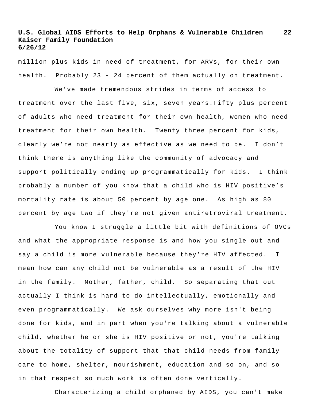**22**

million plus kids in need of treatment, for ARVs, for their own health. Probably 23 - 24 percent of them actually on treatment.

We've made tremendous strides in terms of access to treatment over the last five, six, seven years.Fifty plus percent of adults who need treatment for their own health, women who need treatment for their own health. Twenty three percent for kids, clearly we're not nearly as effective as we need to be. I don't think there is anything like the community of advocacy and support politically ending up programmatically for kids. I think probably a number of you know that a child who is HIV positive's mortality rate is about 50 percent by age one. As high as 80 percent by age two if they're not given antiretroviral treatment.

You know I struggle a little bit with definitions of OVCs and what the appropriate response is and how you single out and say a child is more vulnerable because they're HIV affected. I mean how can any child not be vulnerable as a result of the HIV in the family. Mother, father, child. So separating that out actually I think is hard to do intellectually, emotionally and even programmatically. We ask ourselves why more isn't being done for kids, and in part when you're talking about a vulnerable child, whether he or she is HIV positive or not, you're talking about the totality of support that that child needs from family care to home, shelter, nourishment, education and so on, and so in that respect so much work is often done vertically.

Characterizing a child orphaned by AIDS, you can't make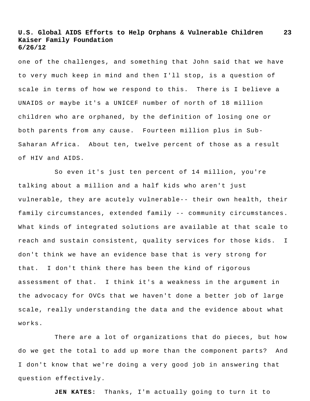**23**

one of the challenges, and something that John said that we have to very much keep in mind and then I'll stop, is a question of scale in terms of how we respond to this. There is I believe a UNAIDS or maybe it's a UNICEF number of north of 18 million children who are orphaned, by the definition of losing one or both parents from any cause. Fourteen million plus in Sub-Saharan Africa. About ten, twelve percent of those as a result of HIV and AIDS.

So even it's just ten percent of 14 million, you're talking about a million and a half kids who aren't just vulnerable, they are acutely vulnerable-- their own health, their family circumstances, extended family -- community circumstances. What kinds of integrated solutions are available at that scale to reach and sustain consistent, quality services for those kids. I don't think we have an evidence base that is very strong for that. I don't think there has been the kind of rigorous assessment of that. I think it's a weakness in the argument in the advocacy for OVCs that we haven't done a better job of large scale, really understanding the data and the evidence about what works.

There are a lot of organizations that do pieces, but how do we get the total to add up more than the component parts? And I don't know that we're doing a very good job in answering that question effectively.

**JEN KATES:** Thanks, I'm actually going to turn it to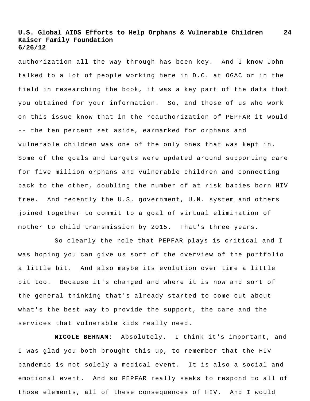authorization all the way through has been key. And I know John talked to a lot of people working here in D.C. at OGAC or in the field in researching the book, it was a key part of the data that you obtained for your information. So, and those of us who work on this issue know that in the reauthorization of PEPFAR it would -- the ten percent set aside, earmarked for orphans and vulnerable children was one of the only ones that was kept in. Some of the goals and targets were updated around supporting care for five million orphans and vulnerable children and connecting back to the other, doubling the number of at risk babies born HIV free. And recently the U.S. government, U.N. system and others joined together to commit to a goal of virtual elimination of mother to child transmission by 2015. That's three years.

So clearly the role that PEPFAR plays is critical and I was hoping you can give us sort of the overview of the portfolio a little bit. And also maybe its evolution over time a little bit too. Because it's changed and where it is now and sort of the general thinking that's already started to come out about what's the best way to provide the support, the care and the services that vulnerable kids really need.

**NICOLE BEHNAM:** Absolutely. I think it's important, and I was glad you both brought this up, to remember that the HIV pandemic is not solely a medical event. It is also a social and emotional event. And so PEPFAR really seeks to respond to all of those elements, all of these consequences of HIV. And I would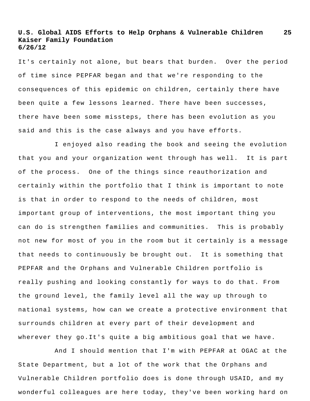It's certainly not alone, but bears that burden. Over the period of time since PEPFAR began and that we're responding to the consequences of this epidemic on children, certainly there have been quite a few lessons learned. There have been successes, there have been some missteps, there has been evolution as you said and this is the case always and you have efforts.

I enjoyed also reading the book and seeing the evolution that you and your organization went through has well. It is part of the process. One of the things since reauthorization and certainly within the portfolio that I think is important to note is that in order to respond to the needs of children, most important group of interventions, the most important thing you can do is strengthen families and communities. This is probably not new for most of you in the room but it certainly is a message that needs to continuously be brought out. It is something that PEPFAR and the Orphans and Vulnerable Children portfolio is really pushing and looking constantly for ways to do that. From the ground level, the family level all the way up through to national systems, how can we create a protective environment that surrounds children at every part of their development and wherever they go.It's quite a big ambitious goal that we have.

And I should mention that I'm with PEPFAR at OGAC at the State Department, but a lot of the work that the Orphans and Vulnerable Children portfolio does is done through USAID, and my wonderful colleagues are here today, they've been working hard on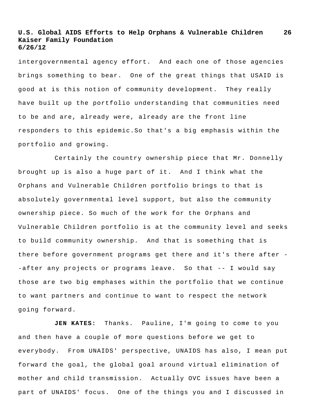intergovernmental agency effort. And each one of those agencies brings something to bear. One of the great things that USAID is good at is this notion of community development. They really have built up the portfolio understanding that communities need to be and are, already were, already are the front line responders to this epidemic.So that's a big emphasis within the portfolio and growing.

Certainly the country ownership piece that Mr. Donnelly brought up is also a huge part of it. And I think what the Orphans and Vulnerable Children portfolio brings to that is absolutely governmental level support, but also the community ownership piece. So much of the work for the Orphans and Vulnerable Children portfolio is at the community level and seeks to build community ownership. And that is something that is there before government programs get there and it's there after - -after any projects or programs leave. So that -- I would say those are two big emphases within the portfolio that we continue to want partners and continue to want to respect the network going forward.

**JEN KATES:** Thanks. Pauline, I'm going to come to you and then have a couple of more questions before we get to everybody. From UNAIDS' perspective, UNAIDS has also, I mean put forward the goal, the global goal around virtual elimination of mother and child transmission. Actually OVC issues have been a part of UNAIDS' focus. One of the things you and I discussed in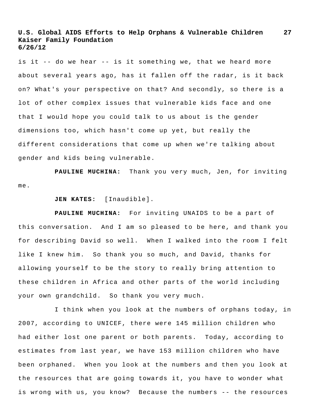**27**

is it -- do we hear -- is it something we, that we heard more about several years ago, has it fallen off the radar, is it back on? What's your perspective on that? And secondly, so there is a lot of other complex issues that vulnerable kids face and one that I would hope you could talk to us about is the gender dimensions too, which hasn't come up yet, but really the different considerations that come up when we're talking about gender and kids being vulnerable.

**PAULINE MUCHINA:** Thank you very much, Jen, for inviting me.

### **JEN KATES:** [Inaudible].

**PAULINE MUCHINA:** For inviting UNAIDS to be a part of this conversation. And I am so pleased to be here, and thank you for describing David so well. When I walked into the room I felt like I knew him. So thank you so much, and David, thanks for allowing yourself to be the story to really bring attention to these children in Africa and other parts of the world including your own grandchild. So thank you very much.

I think when you look at the numbers of orphans today, in 2007, according to UNICEF, there were 145 million children who had either lost one parent or both parents. Today, according to estimates from last year, we have 153 million children who have been orphaned. When you look at the numbers and then you look at the resources that are going towards it, you have to wonder what is wrong with us, you know? Because the numbers -- the resources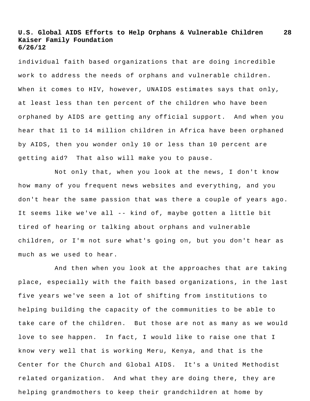individual faith based organizations that are doing incredible work to address the needs of orphans and vulnerable children. When it comes to HIV, however, UNAIDS estimates says that only, at least less than ten percent of the children who have been orphaned by AIDS are getting any official support. And when you hear that 11 to 14 million children in Africa have been orphaned by AIDS, then you wonder only 10 or less than 10 percent are getting aid? That also will make you to pause.

Not only that, when you look at the news, I don't know how many of you frequent news websites and everything, and you don't hear the same passion that was there a couple of years ago. It seems like we've all -- kind of, maybe gotten a little bit tired of hearing or talking about orphans and vulnerable children, or I'm not sure what's going on, but you don't hear as much as we used to hear.

And then when you look at the approaches that are taking place, especially with the faith based organizations, in the last five years we've seen a lot of shifting from institutions to helping building the capacity of the communities to be able to take care of the children. But those are not as many as we would love to see happen. In fact, I would like to raise one that I know very well that is working Meru, Kenya, and that is the Center for the Church and Global AIDS. It's a United Methodist related organization. And what they are doing there, they are helping grandmothers to keep their grandchildren at home by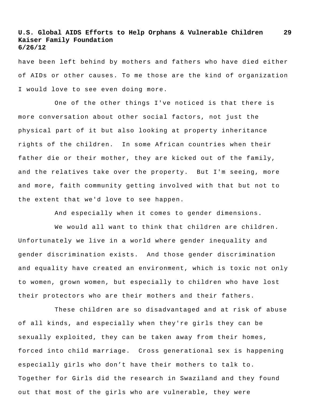have been left behind by mothers and fathers who have died either of AIDs or other causes. To me those are the kind of organization I would love to see even doing more.

One of the other things I've noticed is that there is more conversation about other social factors, not just the physical part of it but also looking at property inheritance rights of the children. In some African countries when their father die or their mother, they are kicked out of the family, and the relatives take over the property. But I'm seeing, more and more, faith community getting involved with that but not to the extent that we'd love to see happen.

And especially when it comes to gender dimensions.

We would all want to think that children are children. Unfortunately we live in a world where gender inequality and gender discrimination exists. And those gender discrimination and equality have created an environment, which is toxic not only to women, grown women, but especially to children who have lost their protectors who are their mothers and their fathers.

These children are so disadvantaged and at risk of abuse of all kinds, and especially when they're girls they can be sexually exploited, they can be taken away from their homes, forced into child marriage. Cross generational sex is happening especially girls who don't have their mothers to talk to. Together for Girls did the research in Swaziland and they found out that most of the girls who are vulnerable, they were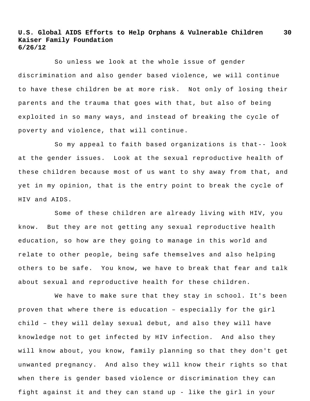So unless we look at the whole issue of gender discrimination and also gender based violence, we will continue to have these children be at more risk. Not only of losing their parents and the trauma that goes with that, but also of being exploited in so many ways, and instead of breaking the cycle of poverty and violence, that will continue.

So my appeal to faith based organizations is that-- look at the gender issues. Look at the sexual reproductive health of these children because most of us want to shy away from that, and yet in my opinion, that is the entry point to break the cycle of HIV and AIDS.

Some of these children are already living with HIV, you know. But they are not getting any sexual reproductive health education, so how are they going to manage in this world and relate to other people, being safe themselves and also helping others to be safe. You know, we have to break that fear and talk about sexual and reproductive health for these children.

We have to make sure that they stay in school. It's been proven that where there is education – especially for the girl child – they will delay sexual debut, and also they will have knowledge not to get infected by HIV infection. And also they will know about, you know, family planning so that they don't get unwanted pregnancy. And also they will know their rights so that when there is gender based violence or discrimination they can fight against it and they can stand up - like the girl in your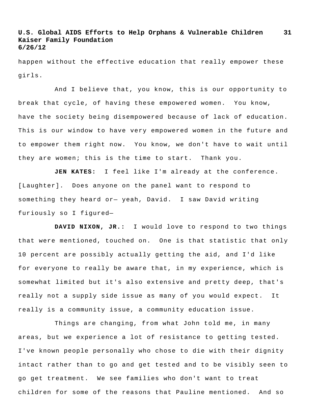happen without the effective education that really empower these girls.

And I believe that, you know, this is our opportunity to break that cycle, of having these empowered women. You know, have the society being disempowered because of lack of education. This is our window to have very empowered women in the future and to empower them right now. You know, we don't have to wait until they are women; this is the time to start. Thank you.

**JEN KATES:** I feel like I'm already at the conference. [Laughter]. Does anyone on the panel want to respond to something they heard or— yeah, David. I saw David writing furiously so I figured—

**DAVID NIXON, JR.:** I would love to respond to two things that were mentioned, touched on. One is that statistic that only 10 percent are possibly actually getting the aid, and I'd like for everyone to really be aware that, in my experience, which is somewhat limited but it's also extensive and pretty deep, that's really not a supply side issue as many of you would expect. It really is a community issue, a community education issue.

Things are changing, from what John told me, in many areas, but we experience a lot of resistance to getting tested. I've known people personally who chose to die with their dignity intact rather than to go and get tested and to be visibly seen to go get treatment. We see families who don't want to treat children for some of the reasons that Pauline mentioned. And so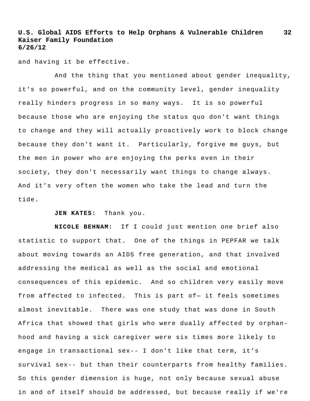and having it be effective.

And the thing that you mentioned about gender inequality, it's so powerful, and on the community level, gender inequality really hinders progress in so many ways. It is so powerful because those who are enjoying the status quo don't want things to change and they will actually proactively work to block change because they don't want it. Particularly, forgive me guys, but the men in power who are enjoying the perks even in their society, they don't necessarily want things to change always. And it's very often the women who take the lead and turn the tide.

**JEN KATES:** Thank you.

**NICOLE BEHNAM:** If I could just mention one brief also statistic to support that. One of the things in PEPFAR we talk about moving towards an AIDS free generation, and that involved addressing the medical as well as the social and emotional consequences of this epidemic. And so children very easily move from affected to infected. This is part of- it feels sometimes almost inevitable. There was one study that was done in South Africa that showed that girls who were dually affected by orphanhood and having a sick caregiver were six times more likely to engage in transactional sex-- I don't like that term, it's survival sex-- but than their counterparts from healthy families. So this gender dimension is huge, not only because sexual abuse in and of itself should be addressed, but because really if we're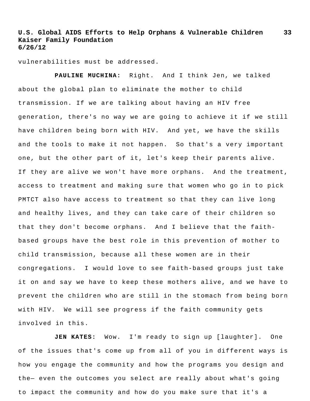vulnerabilities must be addressed.

**PAULINE MUCHINA:** Right. And I think Jen, we talked about the global plan to eliminate the mother to child transmission. If we are talking about having an HIV free generation, there's no way we are going to achieve it if we still have children being born with HIV. And yet, we have the skills and the tools to make it not happen. So that's a very important one, but the other part of it, let's keep their parents alive. If they are alive we won't have more orphans. And the treatment, access to treatment and making sure that women who go in to pick PMTCT also have access to treatment so that they can live long and healthy lives, and they can take care of their children so that they don't become orphans. And I believe that the faithbased groups have the best role in this prevention of mother to child transmission, because all these women are in their congregations. I would love to see faith-based groups just take it on and say we have to keep these mothers alive, and we have to prevent the children who are still in the stomach from being born with HIV. We will see progress if the faith community gets involved in this.

**JEN KATES:** Wow. I'm ready to sign up [laughter]. One of the issues that's come up from all of you in different ways is how you engage the community and how the programs you design and the— even the outcomes you select are really about what's going to impact the community and how do you make sure that it's a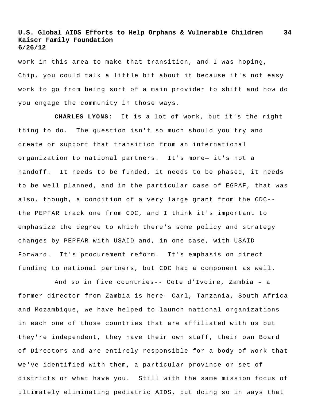work in this area to make that transition, and I was hoping, Chip, you could talk a little bit about it because it's not easy work to go from being sort of a main provider to shift and how do you engage the community in those ways.

**CHARLES LYONS:** It is a lot of work, but it's the right thing to do. The question isn't so much should you try and create or support that transition from an international organization to national partners. It's more— it's not a handoff. It needs to be funded, it needs to be phased, it needs to be well planned, and in the particular case of EGPAF, that was also, though, a condition of a very large grant from the CDC- the PEPFAR track one from CDC, and I think it's important to emphasize the degree to which there's some policy and strategy changes by PEPFAR with USAID and, in one case, with USAID Forward. It's procurement reform. It's emphasis on direct funding to national partners, but CDC had a component as well.

And so in five countries-- Cote d'Ivoire, Zambia – a former director from Zambia is here- Carl, Tanzania, South Africa and Mozambique, we have helped to launch national organizations in each one of those countries that are affiliated with us but they're independent, they have their own staff, their own Board of Directors and are entirely responsible for a body of work that we've identified with them, a particular province or set of districts or what have you. Still with the same mission focus of ultimately eliminating pediatric AIDS, but doing so in ways that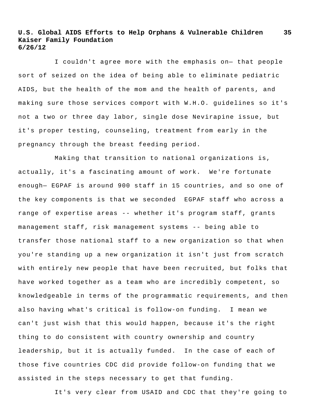**35**

I couldn't agree more with the emphasis on— that people sort of seized on the idea of being able to eliminate pediatric AIDS, but the health of the mom and the health of parents, and making sure those services comport with W.H.O. guidelines so it's not a two or three day labor, single dose Nevirapine issue, but it's proper testing, counseling, treatment from early in the pregnancy through the breast feeding period.

Making that transition to national organizations is, actually, it's a fascinating amount of work. We're fortunate enough— EGPAF is around 900 staff in 15 countries, and so one of the key components is that we seconded EGPAF staff who across a range of expertise areas -- whether it's program staff, grants management staff, risk management systems -- being able to transfer those national staff to a new organization so that when you're standing up a new organization it isn't just from scratch with entirely new people that have been recruited, but folks that have worked together as a team who are incredibly competent, so knowledgeable in terms of the programmatic requirements, and then also having what's critical is follow-on funding. I mean we can't just wish that this would happen, because it's the right thing to do consistent with country ownership and country leadership, but it is actually funded. In the case of each of those five countries CDC did provide follow-on funding that we assisted in the steps necessary to get that funding.

It's very clear from USAID and CDC that they're going to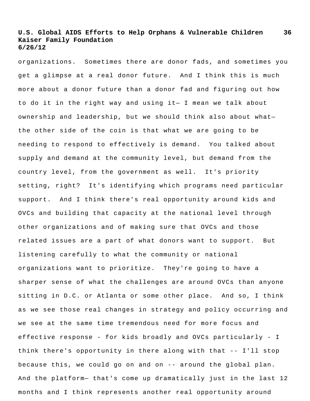organizations. Sometimes there are donor fads, and sometimes you get a glimpse at a real donor future. And I think this is much more about a donor future than a donor fad and figuring out how to do it in the right way and using it— I mean we talk about ownership and leadership, but we should think also about what the other side of the coin is that what we are going to be needing to respond to effectively is demand. You talked about supply and demand at the community level, but demand from the country level, from the government as well. It's priority setting, right? It's identifying which programs need particular support. And I think there's real opportunity around kids and OVCs and building that capacity at the national level through other organizations and of making sure that OVCs and those related issues are a part of what donors want to support. But listening carefully to what the community or national organizations want to prioritize. They're going to have a sharper sense of what the challenges are around OVCs than anyone sitting in D.C. or Atlanta or some other place. And so, I think as we see those real changes in strategy and policy occurring and we see at the same time tremendous need for more focus and effective response - for kids broadly and OVCs particularly - I think there's opportunity in there along with that -- I'll stop because this, we could go on and on -- around the global plan. And the platform— that's come up dramatically just in the last 12 months and I think represents another real opportunity around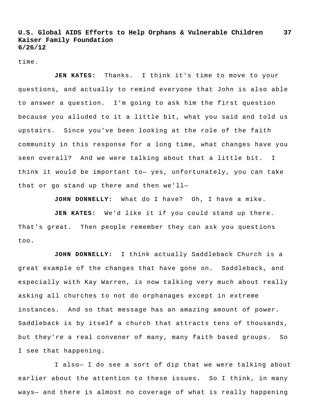time.

**JEN KATES:** Thanks. I think it's time to move to your questions, and actually to remind everyone that John is also able to answer a question. I'm going to ask him the first question because you alluded to it a little bit, what you said and told us upstairs. Since you've been looking at the role of the faith community in this response for a long time, what changes have you seen overall? And we were talking about that a little bit. I think it would be important to— yes, unfortunately, you can take that or go stand up there and then we'll—

**JOHN DONNELLY:** What do I have? Oh, I have a mike.

**JEN KATES:** We'd like it if you could stand up there. That's great. Then people remember they can ask you questions too.

**JOHN DONNELLY:** I think actually Saddleback Church is a great example of the changes that have gone on. Saddleback, and especially with Kay Warren, is now talking very much about really asking all churches to not do orphanages except in extreme instances. And so that message has an amazing amount of power. Saddleback is by itself a church that attracts tens of thousands, but they're a real convener of many, many faith based groups. So I see that happening.

I also— I do see a sort of dip that we were talking about earlier about the attention to these issues. So I think, in many ways— and there is almost no coverage of what is really happening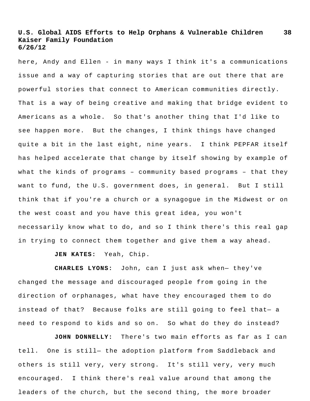here, Andy and Ellen - in many ways I think it's a communications issue and a way of capturing stories that are out there that are powerful stories that connect to American communities directly. That is a way of being creative and making that bridge evident to Americans as a whole. So that's another thing that I'd like to see happen more. But the changes, I think things have changed quite a bit in the last eight, nine years. I think PEPFAR itself has helped accelerate that change by itself showing by example of what the kinds of programs – community based programs – that they want to fund, the U.S. government does, in general. But I still think that if you're a church or a synagogue in the Midwest or on the west coast and you have this great idea, you won't necessarily know what to do, and so I think there's this real gap in trying to connect them together and give them a way ahead.

**JEN KATES:** Yeah, Chip.

**CHARLES LYONS:** John, can I just ask when— they've changed the message and discouraged people from going in the direction of orphanages, what have they encouraged them to do instead of that? Because folks are still going to feel that— a need to respond to kids and so on. So what do they do instead?

**JOHN DONNELLY:** There's two main efforts as far as I can tell. One is still— the adoption platform from Saddleback and others is still very, very strong. It's still very, very much encouraged. I think there's real value around that among the leaders of the church, but the second thing, the more broader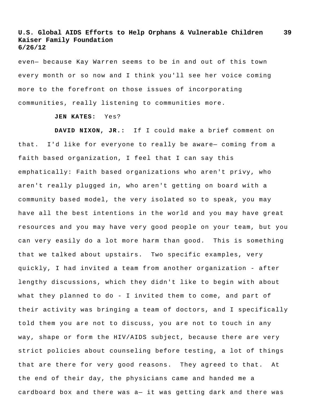even— because Kay Warren seems to be in and out of this town every month or so now and I think you'll see her voice coming more to the forefront on those issues of incorporating communities, really listening to communities more.

### **JEN KATES:** Yes?

**DAVID NIXON, JR.:** If I could make a brief comment on that. I'd like for everyone to really be aware— coming from a faith based organization, I feel that I can say this emphatically: Faith based organizations who aren't privy, who aren't really plugged in, who aren't getting on board with a community based model, the very isolated so to speak, you may have all the best intentions in the world and you may have great resources and you may have very good people on your team, but you can very easily do a lot more harm than good. This is something that we talked about upstairs. Two specific examples, very quickly, I had invited a team from another organization - after lengthy discussions, which they didn't like to begin with about what they planned to do - I invited them to come, and part of their activity was bringing a team of doctors, and I specifically told them you are not to discuss, you are not to touch in any way, shape or form the HIV/AIDS subject, because there are very strict policies about counseling before testing, a lot of things that are there for very good reasons. They agreed to that. At the end of their day, the physicians came and handed me a cardboard box and there was a— it was getting dark and there was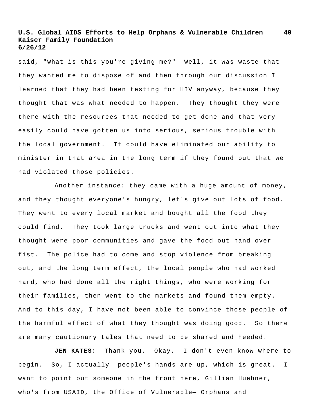said, "What is this you're giving me?" Well, it was waste that they wanted me to dispose of and then through our discussion I learned that they had been testing for HIV anyway, because they thought that was what needed to happen. They thought they were there with the resources that needed to get done and that very easily could have gotten us into serious, serious trouble with the local government. It could have eliminated our ability to minister in that area in the long term if they found out that we had violated those policies.

Another instance: they came with a huge amount of money, and they thought everyone's hungry, let's give out lots of food. They went to every local market and bought all the food they could find. They took large trucks and went out into what they thought were poor communities and gave the food out hand over fist. The police had to come and stop violence from breaking out, and the long term effect, the local people who had worked hard, who had done all the right things, who were working for their families, then went to the markets and found them empty. And to this day, I have not been able to convince those people of the harmful effect of what they thought was doing good. So there are many cautionary tales that need to be shared and heeded.

**JEN KATES:** Thank you. Okay. I don't even know where to begin. So, I actually— people's hands are up, which is great. I want to point out someone in the front here, Gillian Huebner, who's from USAID, the Office of Vulnerable— Orphans and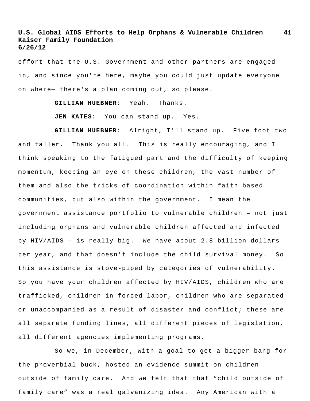effort that the U.S. Government and other partners are engaged in, and since you're here, maybe you could just update everyone on where— there's a plan coming out, so please.

**GILLIAN HUEBNER:** Yeah. Thanks.

**JEN KATES:** You can stand up. Yes.

**GILLIAN HUEBNER:** Alright, I'll stand up. Five foot two and taller. Thank you all. This is really encouraging, and I think speaking to the fatigued part and the difficulty of keeping momentum, keeping an eye on these children, the vast number of them and also the tricks of coordination within faith based communities, but also within the government. I mean the government assistance portfolio to vulnerable children – not just including orphans and vulnerable children affected and infected by HIV/AIDS – is really big. We have about 2.8 billion dollars per year, and that doesn't include the child survival money. So this assistance is stove-piped by categories of vulnerability. So you have your children affected by HIV/AIDS, children who are trafficked, children in forced labor, children who are separated or unaccompanied as a result of disaster and conflict; these are all separate funding lines, all different pieces of legislation, all different agencies implementing programs.

So we, in December, with a goal to get a bigger bang for the proverbial buck, hosted an evidence summit on children outside of family care. And we felt that that "child outside of family care" was a real galvanizing idea. Any American with a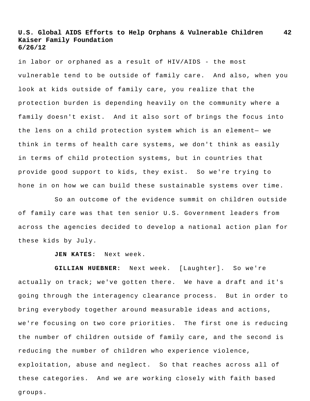in labor or orphaned as a result of HIV/AIDS - the most vulnerable tend to be outside of family care. And also, when you look at kids outside of family care, you realize that the protection burden is depending heavily on the community where a family doesn't exist. And it also sort of brings the focus into the lens on a child protection system which is an element— we think in terms of health care systems, we don't think as easily in terms of child protection systems, but in countries that provide good support to kids, they exist. So we're trying to hone in on how we can build these sustainable systems over time.

So an outcome of the evidence summit on children outside of family care was that ten senior U.S. Government leaders from across the agencies decided to develop a national action plan for these kids by July.

**JEN KATES:** Next week.

**GILLIAN HUEBNER:** Next week. [Laughter]. So we're actually on track; we've gotten there. We have a draft and it's going through the interagency clearance process. But in order to bring everybody together around measurable ideas and actions, we're focusing on two core priorities. The first one is reducing the number of children outside of family care, and the second is reducing the number of children who experience violence, exploitation, abuse and neglect. So that reaches across all of these categories. And we are working closely with faith based groups.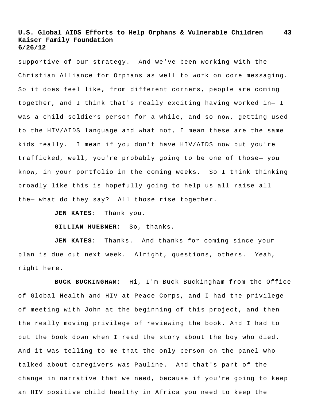supportive of our strategy. And we've been working with the Christian Alliance for Orphans as well to work on core messaging. So it does feel like, from different corners, people are coming together, and I think that's really exciting having worked in— I was a child soldiers person for a while, and so now, getting used to the HIV/AIDS language and what not, I mean these are the same kids really. I mean if you don't have HIV/AIDS now but you're trafficked, well, you're probably going to be one of those— you know, in your portfolio in the coming weeks. So I think thinking broadly like this is hopefully going to help us all raise all the— what do they say? All those rise together.

**JEN KATES:** Thank you.

**GILLIAN HUEBNER:** So, thanks.

**JEN KATES:** Thanks. And thanks for coming since your plan is due out next week. Alright, questions, others. Yeah, right here.

**BUCK BUCKINGHAM:** Hi, I'm Buck Buckingham from the Office of Global Health and HIV at Peace Corps, and I had the privilege of meeting with John at the beginning of this project, and then the really moving privilege of reviewing the book. And I had to put the book down when I read the story about the boy who died. And it was telling to me that the only person on the panel who talked about caregivers was Pauline. And that's part of the change in narrative that we need, because if you're going to keep an HIV positive child healthy in Africa you need to keep the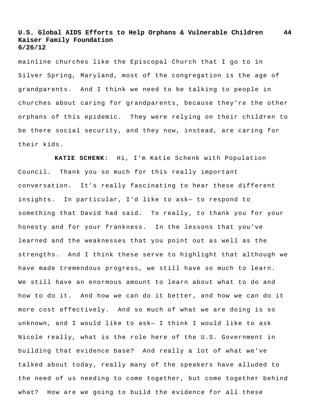mainline churches like the Episcopal Church that I go to in Silver Spring, Maryland, most of the congregation is the age of grandparents. And I think we need to be talking to people in churches about caring for grandparents, because they're the other orphans of this epidemic. They were relying on their children to be there social security, and they now, instead, are caring for their kids.

**KATIE SCHENK:** Hi, I'm Katie Schenk with Population Council. Thank you so much for this really important conversation. It's really fascinating to hear these different insights. In particular, I'd like to ask— to respond to something that David had said. To really, to thank you for your honesty and for your frankness. In the lessons that you've learned and the weaknesses that you point out as well as the strengths. And I think these serve to highlight that although we have made tremendous progress, we still have so much to learn. We still have an enormous amount to learn about what to do and how to do it. And how we can do it better, and how we can do it more cost effectively. And so much of what we are doing is so unknown, and I would like to ask— I think I would like to ask Nicole really, what is the role here of the U.S. Government in building that evidence base? And really a lot of what we've talked about today, really many of the speakers have alluded to the need of us needing to come together, but come together behind what? How are we going to build the evidence for all these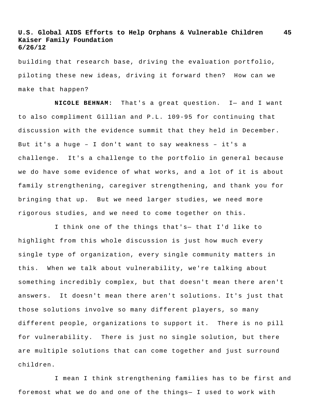building that research base, driving the evaluation portfolio, piloting these new ideas, driving it forward then? How can we make that happen?

**NICOLE BEHNAM:** That's a great question. I— and I want to also compliment Gillian and P.L. 109-95 for continuing that discussion with the evidence summit that they held in December. But it's a huge – I don't want to say weakness – it's a challenge. It's a challenge to the portfolio in general because we do have some evidence of what works, and a lot of it is about family strengthening, caregiver strengthening, and thank you for bringing that up. But we need larger studies, we need more rigorous studies, and we need to come together on this.

I think one of the things that's— that I'd like to highlight from this whole discussion is just how much every single type of organization, every single community matters in this. When we talk about vulnerability, we're talking about something incredibly complex, but that doesn't mean there aren't answers. It doesn't mean there aren't solutions. It's just that those solutions involve so many different players, so many different people, organizations to support it. There is no pill for vulnerability. There is just no single solution, but there are multiple solutions that can come together and just surround children.

I mean I think strengthening families has to be first and foremost what we do and one of the things— I used to work with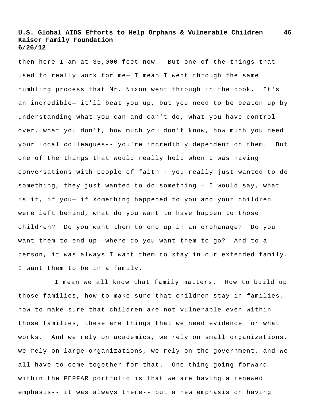then here I am at 35,000 feet now. But one of the things that used to really work for me— I mean I went through the same humbling process that Mr. Nixon went through in the book. It's an incredible— it'll beat you up, but you need to be beaten up by understanding what you can and can't do, what you have control over, what you don't, how much you don't know, how much you need your local colleagues-- you're incredibly dependent on them. But one of the things that would really help when I was having conversations with people of faith - you really just wanted to do something, they just wanted to do something – I would say, what is it, if you— if something happened to you and your children were left behind, what do you want to have happen to those children? Do you want them to end up in an orphanage? Do you want them to end up— where do you want them to go? And to a person, it was always I want them to stay in our extended family. I want them to be in a family.

I mean we all know that family matters. How to build up those families, how to make sure that children stay in families, how to make sure that children are not vulnerable even within those families, these are things that we need evidence for what works. And we rely on academics, we rely on small organizations, we rely on large organizations, we rely on the government, and we all have to come together for that. One thing going forward within the PEPFAR portfolio is that we are having a renewed emphasis-- it was always there-- but a new emphasis on having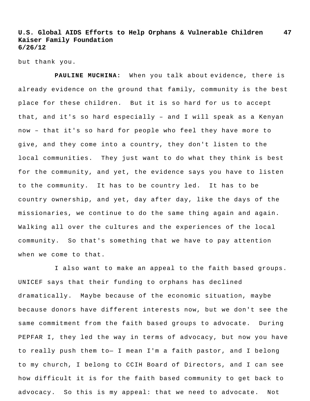but thank you.

**PAULINE MUCHINA:** When you talk about evidence, there is already evidence on the ground that family, community is the best place for these children. But it is so hard for us to accept that, and it's so hard especially – and I will speak as a Kenyan now – that it's so hard for people who feel they have more to give, and they come into a country, they don't listen to the local communities. They just want to do what they think is best for the community, and yet, the evidence says you have to listen to the community. It has to be country led. It has to be country ownership, and yet, day after day, like the days of the missionaries, we continue to do the same thing again and again. Walking all over the cultures and the experiences of the local community. So that's something that we have to pay attention when we come to that.

I also want to make an appeal to the faith based groups. UNICEF says that their funding to orphans has declined dramatically. Maybe because of the economic situation, maybe because donors have different interests now, but we don't see the same commitment from the faith based groups to advocate. During PEPFAR I, they led the way in terms of advocacy, but now you have to really push them to— I mean I'm a faith pastor, and I belong to my church, I belong to CCIH Board of Directors, and I can see how difficult it is for the faith based community to get back to advocacy. So this is my appeal: that we need to advocate. Not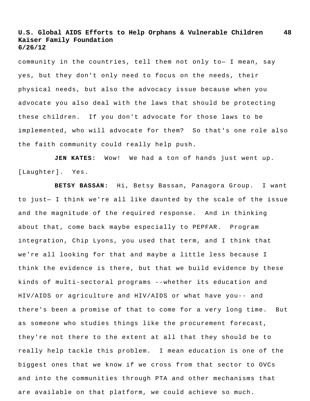community in the countries, tell them not only to— I mean, say yes, but they don't only need to focus on the needs, their physical needs, but also the advocacy issue because when you advocate you also deal with the laws that should be protecting these children. If you don't advocate for those laws to be implemented, who will advocate for them? So that's one role also the faith community could really help push.

**JEN KATES:** Wow! We had a ton of hands just went up. [Laughter]. Yes.

**BETSY BASSAN:** Hi, Betsy Bassan, Panagora Group. I want to just— I think we're all like daunted by the scale of the issue and the magnitude of the required response. And in thinking about that, come back maybe especially to PEPFAR. Program integration, Chip Lyons, you used that term, and I think that we're all looking for that and maybe a little less because I think the evidence is there, but that we build evidence by these kinds of multi-sectoral programs --whether its education and HIV/AIDS or agriculture and HIV/AIDS or what have you-- and there's been a promise of that to come for a very long time. But as someone who studies things like the procurement forecast, they're not there to the extent at all that they should be to really help tackle this problem. I mean education is one of the biggest ones that we know if we cross from that sector to OVCs and into the communities through PTA and other mechanisms that are available on that platform, we could achieve so much.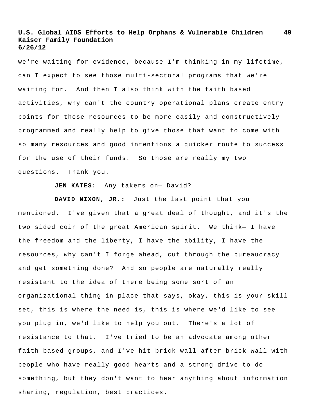we're waiting for evidence, because I'm thinking in my lifetime, can I expect to see those multi-sectoral programs that we're waiting for. And then I also think with the faith based activities, why can't the country operational plans create entry points for those resources to be more easily and constructively programmed and really help to give those that want to come with so many resources and good intentions a quicker route to success for the use of their funds. So those are really my two questions. Thank you.

**JEN KATES:** Any takers on— David?

**DAVID NIXON, JR.:** Just the last point that you mentioned. I've given that a great deal of thought, and it's the two sided coin of the great American spirit. We think— I have the freedom and the liberty, I have the ability, I have the resources, why can't I forge ahead, cut through the bureaucracy and get something done? And so people are naturally really resistant to the idea of there being some sort of an organizational thing in place that says, okay, this is your skill set, this is where the need is, this is where we'd like to see you plug in, we'd like to help you out. There's a lot of resistance to that. I've tried to be an advocate among other faith based groups, and I've hit brick wall after brick wall with people who have really good hearts and a strong drive to do something, but they don't want to hear anything about information sharing, regulation, best practices.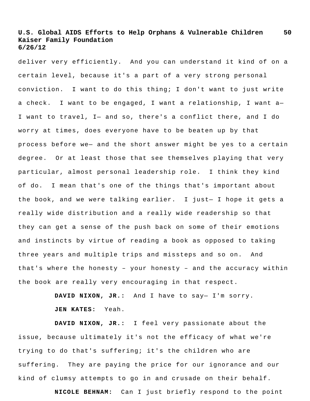deliver very efficiently. And you can understand it kind of on a certain level, because it's a part of a very strong personal conviction. I want to do this thing; I don't want to just write a check. I want to be engaged, I want a relationship, I want a— I want to travel, I— and so, there's a conflict there, and I do worry at times, does everyone have to be beaten up by that process before we— and the short answer might be yes to a certain degree. Or at least those that see themselves playing that very particular, almost personal leadership role. I think they kind of do. I mean that's one of the things that's important about the book, and we were talking earlier. I just— I hope it gets a really wide distribution and a really wide readership so that they can get a sense of the push back on some of their emotions and instincts by virtue of reading a book as opposed to taking three years and multiple trips and missteps and so on. And that's where the honesty – your honesty – and the accuracy within the book are really very encouraging in that respect.

> **DAVID NIXON, JR.:** And I have to say— I'm sorry. **JEN KATES:** Yeah.

**DAVID NIXON, JR.:** I feel very passionate about the issue, because ultimately it's not the efficacy of what we're trying to do that's suffering; it's the children who are suffering. They are paying the price for our ignorance and our kind of clumsy attempts to go in and crusade on their behalf.

**NICOLE BEHNAM:** Can I just briefly respond to the point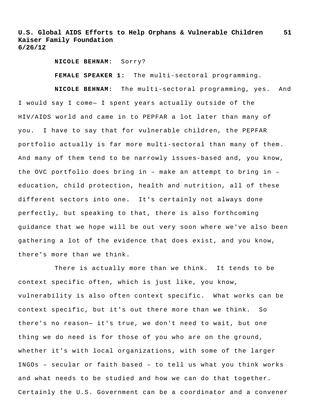**NICOLE BEHNAM:** Sorry?

**FEMALE SPEAKER 1:** The multi-sectoral programming.

**NICOLE BEHNAM:** The multi-sectoral programming, yes. And I would say I come— I spent years actually outside of the HIV/AIDS world and came in to PEPFAR a lot later than many of you. I have to say that for vulnerable children, the PEPFAR portfolio actually is far more multi-sectoral than many of them. And many of them tend to be narrowly issues-based and, you know, the OVC portfolio does bring in – make an attempt to bring in – education, child protection, health and nutrition, all of these different sectors into one. It's certainly not always done perfectly, but speaking to that, there is also forthcoming guidance that we hope will be out very soon where we've also been gathering a lot of the evidence that does exist, and you know, there's more than we think.

There is actually more than we think. It tends to be context specific often, which is just like, you know, vulnerability is also often context specific. What works can be context specific, but it's out there more than we think. So there's no reason— it's true, we don't need to wait, but one thing we do need is for those of you who are on the ground, whether it's with local organizations, with some of the larger INGOs – secular or faith based – to tell us what you think works and what needs to be studied and how we can do that together. Certainly the U.S. Government can be a coordinator and a convener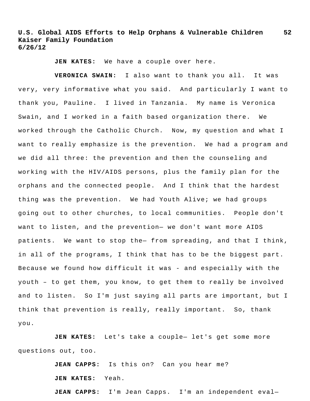**JEN KATES:** We have a couple over here.

**VERONICA SWAIN:** I also want to thank you all. It was very, very informative what you said. And particularly I want to thank you, Pauline. I lived in Tanzania. My name is Veronica Swain, and I worked in a faith based organization there. We worked through the Catholic Church. Now, my question and what I want to really emphasize is the prevention. We had a program and we did all three: the prevention and then the counseling and working with the HIV/AIDS persons, plus the family plan for the orphans and the connected people. And I think that the hardest thing was the prevention. We had Youth Alive; we had groups going out to other churches, to local communities. People don't want to listen, and the prevention— we don't want more AIDS patients. We want to stop the— from spreading, and that I think, in all of the programs, I think that has to be the biggest part. Because we found how difficult it was - and especially with the youth – to get them, you know, to get them to really be involved and to listen. So I'm just saying all parts are important, but I think that prevention is really, really important. So, thank you.

**JEN KATES:** Let's take a couple— let's get some more questions out, too.

> **JEAN CAPPS:** Is this on? Can you hear me? **JEN KATES:** Yeah.

**JEAN CAPPS:** I'm Jean Capps. I'm an independent eval—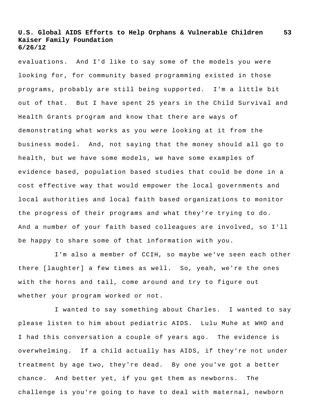evaluations. And I'd like to say some of the models you were looking for, for community based programming existed in those programs, probably are still being supported. I'm a little bit out of that. But I have spent 25 years in the Child Survival and Health Grants program and know that there are ways of demonstrating what works as you were looking at it from the business model. And, not saying that the money should all go to health, but we have some models, we have some examples of evidence based, population based studies that could be done in a cost effective way that would empower the local governments and local authorities and local faith based organizations to monitor the progress of their programs and what they're trying to do. And a number of your faith based colleagues are involved, so I'll be happy to share some of that information with you.

I'm also a member of CCIH, so maybe we've seen each other there [laughter] a few times as well. So, yeah, we're the ones with the horns and tail, come around and try to figure out whether your program worked or not.

I wanted to say something about Charles. I wanted to say please listen to him about pediatric AIDS. Lulu Muhe at WHO and I had this conversation a couple of years ago. The evidence is overwhelming. If a child actually has AIDS, if they're not under treatment by age two, they're dead. By one you've got a better chance. And better yet, if you get them as newborns. The challenge is you're going to have to deal with maternal, newborn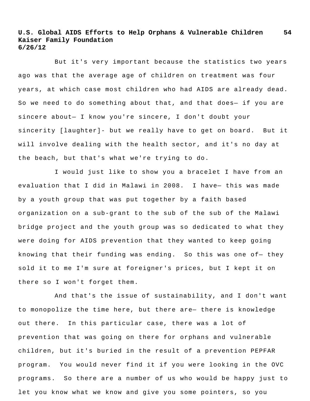But it's very important because the statistics two years ago was that the average age of children on treatment was four years, at which case most children who had AIDS are already dead. So we need to do something about that, and that does— if you are sincere about— I know you're sincere, I don't doubt your sincerity [laughter]- but we really have to get on board. But it will involve dealing with the health sector, and it's no day at the beach, but that's what we're trying to do.

I would just like to show you a bracelet I have from an evaluation that I did in Malawi in 2008. I have— this was made by a youth group that was put together by a faith based organization on a sub-grant to the sub of the sub of the Malawi bridge project and the youth group was so dedicated to what they were doing for AIDS prevention that they wanted to keep going knowing that their funding was ending. So this was one of— they sold it to me I'm sure at foreigner's prices, but I kept it on there so I won't forget them.

And that's the issue of sustainability, and I don't want to monopolize the time here, but there are— there is knowledge out there. In this particular case, there was a lot of prevention that was going on there for orphans and vulnerable children, but it's buried in the result of a prevention PEPFAR program. You would never find it if you were looking in the OVC programs. So there are a number of us who would be happy just to let you know what we know and give you some pointers, so you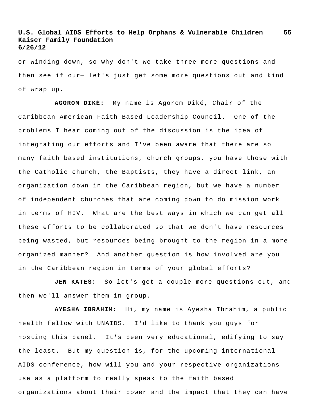or winding down, so why don't we take three more questions and then see if our— let's just get some more questions out and kind of wrap up.

**AGOROM DIKÉ:** My name is Agorom Diké, Chair of the Caribbean American Faith Based Leadership Council. One of the problems I hear coming out of the discussion is the idea of integrating our efforts and I've been aware that there are so many faith based institutions, church groups, you have those with the Catholic church, the Baptists, they have a direct link, an organization down in the Caribbean region, but we have a number of independent churches that are coming down to do mission work in terms of HIV. What are the best ways in which we can get all these efforts to be collaborated so that we don't have resources being wasted, but resources being brought to the region in a more organized manner? And another question is how involved are you in the Caribbean region in terms of your global efforts?

**JEN KATES:** So let's get a couple more questions out, and then we'll answer them in group.

**AYESHA IBRAHIM:** Hi, my name is Ayesha Ibrahim, a public health fellow with UNAIDS. I'd like to thank you guys for hosting this panel. It's been very educational, edifying to say the least. But my question is, for the upcoming international AIDS conference, how will you and your respective organizations use as a platform to really speak to the faith based organizations about their power and the impact that they can have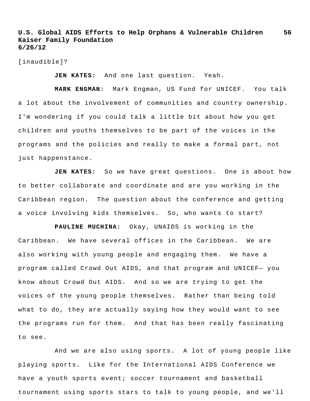[inaudible]?

**JEN KATES:** And one last question. Yeah.

**MARK ENGMAN:** Mark Engman, US Fund for UNICEF. You talk a lot about the involvement of communities and country ownership. I'm wondering if you could talk a little bit about how you get children and youths themselves to be part of the voices in the programs and the policies and really to make a formal part, not just happenstance.

**JEN KATES:** So we have great questions. One is about how to better collaborate and coordinate and are you working in the Caribbean region. The question about the conference and getting a voice involving kids themselves. So, who wants to start?

**PAULINE MUCHINA:** Okay, UNAIDS is working in the Caribbean. We have several offices in the Caribbean. We are also working with young people and engaging them. We have a program called Crowd Out AIDS, and that program and UNICEF— you know about Crowd Out AIDS. And so we are trying to get the voices of the young people themselves. Rather than being told what to do, they are actually saying how they would want to see the programs run for them. And that has been really fascinating to see.

And we are also using sports. A lot of young people like playing sports. Like for the International AIDS Conference we have a youth sports event; soccer tournament and basketball tournament using sports stars to talk to young people, and we'll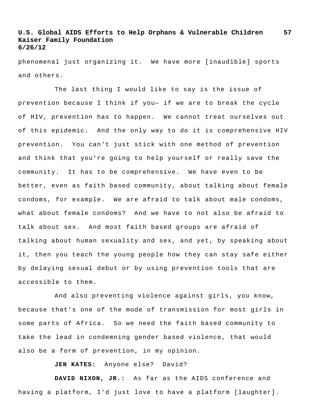phenomenal just organizing it. We have more [inaudible] sports and others.

The last thing I would like to say is the issue of prevention because I think if you— if we are to break the cycle of HIV, prevention has to happen. We cannot treat ourselves out of this epidemic. And the only way to do it is comprehensive HIV prevention. You can't just stick with one method of prevention and think that you're going to help yourself or really save the community. It has to be comprehensive. We have even to be better, even as faith based community, about talking about female condoms, for example. We are afraid to talk about male condoms, what about female condoms? And we have to not also be afraid to talk about sex. And most faith based groups are afraid of talking about human sexuality and sex, and yet, by speaking about it, then you teach the young people how they can stay safe either by delaying sexual debut or by using prevention tools that are accessible to them.

And also preventing violence against girls, you know, because that's one of the mode of transmission for most girls in some parts of Africa. So we need the faith based community to take the lead in condemning gender based violence, that would also be a form of prevention, in my opinion.

**JEN KATES:** Anyone else? David?

**DAVID NIXON, JR.:** As far as the AIDS conference and having a platform, I'd just love to have a platform [laughter].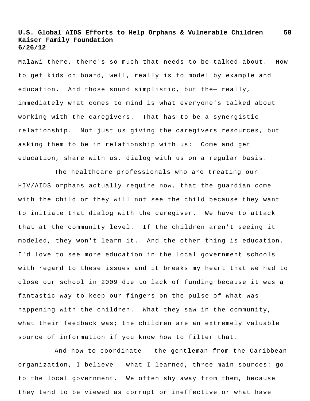Malawi there, there's so much that needs to be talked about. How to get kids on board, well, really is to model by example and education. And those sound simplistic, but the- really, immediately what comes to mind is what everyone's talked about working with the caregivers. That has to be a synergistic relationship. Not just us giving the caregivers resources, but asking them to be in relationship with us: Come and get education, share with us, dialog with us on a regular basis.

The healthcare professionals who are treating our HIV/AIDS orphans actually require now, that the guardian come with the child or they will not see the child because they want to initiate that dialog with the caregiver. We have to attack that at the community level. If the children aren't seeing it modeled, they won't learn it. And the other thing is education. I'd love to see more education in the local government schools with regard to these issues and it breaks my heart that we had to close our school in 2009 due to lack of funding because it was a fantastic way to keep our fingers on the pulse of what was happening with the children. What they saw in the community, what their feedback was; the children are an extremely valuable source of information if you know how to filter that.

And how to coordinate – the gentleman from the Caribbean organization, I believe – what I learned, three main sources: go to the local government. We often shy away from them, because they tend to be viewed as corrupt or ineffective or what have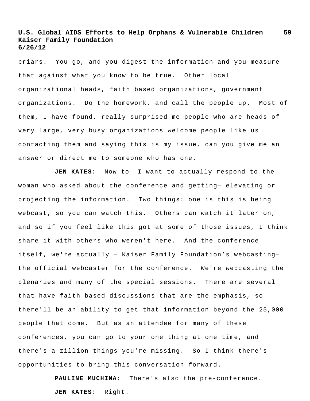briars. You go, and you digest the information and you measure that against what you know to be true. Other local organizational heads, faith based organizations, government organizations. Do the homework, and call the people up. Most of them, I have found, really surprised me-people who are heads of very large, very busy organizations welcome people like us contacting them and saying this is my issue, can you give me an answer or direct me to someone who has one.

**JEN KATES:** Now to— I want to actually respond to the woman who asked about the conference and getting— elevating or projecting the information. Two things: one is this is being webcast, so you can watch this. Others can watch it later on, and so if you feel like this got at some of those issues, I think share it with others who weren't here. And the conference itself, we're actually – Kaiser Family Foundation's webcasting the official webcaster for the conference. We're webcasting the plenaries and many of the special sessions. There are several that have faith based discussions that are the emphasis, so there'll be an ability to get that information beyond the 25,000 people that come. But as an attendee for many of these conferences, you can go to your one thing at one time, and there's a zillion things you're missing. So I think there's opportunities to bring this conversation forward.

> **PAULINE MUCHINA**: There's also the pre-conference. **JEN KATES:** Right.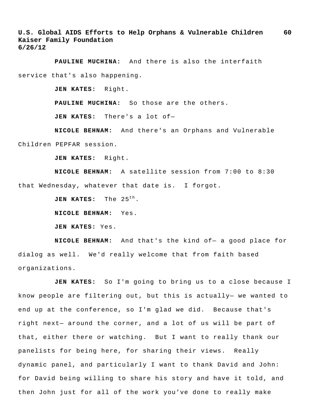**PAULINE MUCHINA:** And there is also the interfaith service that's also happening.

**JEN KATES:** Right.

**PAULINE MUCHINA:** So those are the others.

**JEN KATES:** There's a lot of—

**NICOLE BEHNAM:** And there's an Orphans and Vulnerable Children PEPFAR session.

**JEN KATES:** Right.

**NICOLE BEHNAM:** A satellite session from 7:00 to 8:30 that Wednesday, whatever that date is. I forgot.

**JEN KATES:** The  $25^{th}$ .

**NICOLE BEHNAM:** Yes.

**JEN KATES:** Yes.

**NICOLE BEHNAM:** And that's the kind of— a good place for dialog as well. We'd really welcome that from faith based organizations.

**JEN KATES:** So I'm going to bring us to a close because I know people are filtering out, but this is actually— we wanted to end up at the conference, so I'm glad we did. Because that's right next— around the corner, and a lot of us will be part of that, either there or watching. But I want to really thank our panelists for being here, for sharing their views. Really dynamic panel, and particularly I want to thank David and John: for David being willing to share his story and have it told, and then John just for all of the work you've done to really make